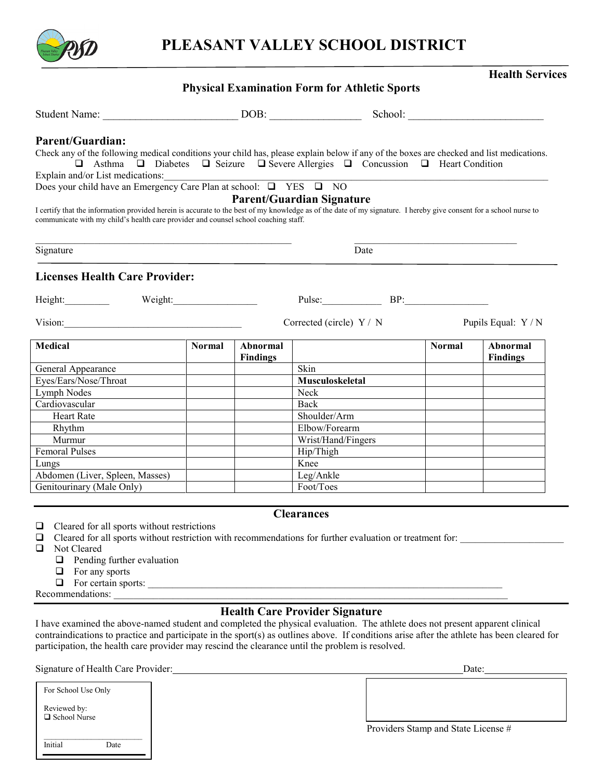

### **Physical Examination Form for Athletic Sports**

| Student Name: DOB:                                                                                                                                                                                                                                                                                                                                                                                                                                                                                                                                                                                                                                            |               |                             |                                  |               | School: The School School School School School School School School School School School School School School School School School School School School School School School School School School School School School School |
|---------------------------------------------------------------------------------------------------------------------------------------------------------------------------------------------------------------------------------------------------------------------------------------------------------------------------------------------------------------------------------------------------------------------------------------------------------------------------------------------------------------------------------------------------------------------------------------------------------------------------------------------------------------|---------------|-----------------------------|----------------------------------|---------------|-------------------------------------------------------------------------------------------------------------------------------------------------------------------------------------------------------------------------------|
| Parent/Guardian:<br>Check any of the following medical conditions your child has, please explain below if any of the boxes are checked and list medications.<br>$\Box$ Asthma $\Box$ Diabetes $\Box$ Seizure $\Box$ Severe Allergies $\Box$ Concussion $\Box$ Heart Condition<br>Explain and/or List medications:<br>Does your child have an Emergency Care Plan at school: $\Box$ YES $\Box$ NO<br>I certify that the information provided herein is accurate to the best of my knowledge as of the date of my signature. I hereby give consent for a school nurse to<br>communicate with my child's health care provider and counsel school coaching staff. |               |                             | <b>Parent/Guardian Signature</b> |               |                                                                                                                                                                                                                               |
|                                                                                                                                                                                                                                                                                                                                                                                                                                                                                                                                                                                                                                                               |               |                             |                                  |               |                                                                                                                                                                                                                               |
| Signature                                                                                                                                                                                                                                                                                                                                                                                                                                                                                                                                                                                                                                                     |               |                             | Date                             |               |                                                                                                                                                                                                                               |
| <b>Licenses Health Care Provider:</b>                                                                                                                                                                                                                                                                                                                                                                                                                                                                                                                                                                                                                         |               |                             |                                  |               |                                                                                                                                                                                                                               |
| Height: Weight:                                                                                                                                                                                                                                                                                                                                                                                                                                                                                                                                                                                                                                               |               |                             | Pulse: BP:                       |               |                                                                                                                                                                                                                               |
| Vision:                                                                                                                                                                                                                                                                                                                                                                                                                                                                                                                                                                                                                                                       |               |                             | Corrected (circle) $Y / N$       |               | Pupils Equal: Y / N                                                                                                                                                                                                           |
| Medical                                                                                                                                                                                                                                                                                                                                                                                                                                                                                                                                                                                                                                                       | <b>Normal</b> | Abnormal<br><b>Findings</b> |                                  | <b>Normal</b> | Abnormal<br><b>Findings</b>                                                                                                                                                                                                   |
| General Appearance                                                                                                                                                                                                                                                                                                                                                                                                                                                                                                                                                                                                                                            |               |                             | Skin                             |               |                                                                                                                                                                                                                               |
| Eyes/Ears/Nose/Throat                                                                                                                                                                                                                                                                                                                                                                                                                                                                                                                                                                                                                                         |               |                             | Musculoskeletal                  |               |                                                                                                                                                                                                                               |
| Lymph Nodes                                                                                                                                                                                                                                                                                                                                                                                                                                                                                                                                                                                                                                                   |               |                             | <b>Neck</b>                      |               |                                                                                                                                                                                                                               |
| Cardiovascular                                                                                                                                                                                                                                                                                                                                                                                                                                                                                                                                                                                                                                                |               |                             | Back                             |               |                                                                                                                                                                                                                               |
| <b>Heart Rate</b>                                                                                                                                                                                                                                                                                                                                                                                                                                                                                                                                                                                                                                             |               |                             | Shoulder/Arm                     |               |                                                                                                                                                                                                                               |
| Rhythm                                                                                                                                                                                                                                                                                                                                                                                                                                                                                                                                                                                                                                                        |               |                             | Elbow/Forearm                    |               |                                                                                                                                                                                                                               |
| Murmur                                                                                                                                                                                                                                                                                                                                                                                                                                                                                                                                                                                                                                                        |               |                             | Wrist/Hand/Fingers               |               |                                                                                                                                                                                                                               |
| <b>Femoral Pulses</b>                                                                                                                                                                                                                                                                                                                                                                                                                                                                                                                                                                                                                                         |               |                             | Hip/Thigh                        |               |                                                                                                                                                                                                                               |
| Lungs                                                                                                                                                                                                                                                                                                                                                                                                                                                                                                                                                                                                                                                         |               |                             | Knee                             |               |                                                                                                                                                                                                                               |
| Abdomen (Liver, Spleen, Masses)                                                                                                                                                                                                                                                                                                                                                                                                                                                                                                                                                                                                                               |               |                             | Leg/Ankle                        |               |                                                                                                                                                                                                                               |
| Genitourinary (Male Only)                                                                                                                                                                                                                                                                                                                                                                                                                                                                                                                                                                                                                                     |               |                             | Foot/Toes                        |               |                                                                                                                                                                                                                               |
|                                                                                                                                                                                                                                                                                                                                                                                                                                                                                                                                                                                                                                                               |               |                             |                                  |               |                                                                                                                                                                                                                               |

# **Clearances**

 $\Box$  Cleared for all sports without restrictions

 $\Box$  Cleared for all sports without restriction with recommendations for further evaluation or treatment for:

- Not Cleared
	- $\Box$  Pending further evaluation
	- **D** For any sports

 $\Box$  For certain sports:

# Recommendations:

# **Health Care Provider Signature**

I have examined the above-named student and completed the physical evaluation. The athlete does not present apparent clinical contraindications to practice and participate in the sport(s) as outlines above. If conditions arise after the athlete has been cleared for participation, the health care provider may rescind the clearance until the problem is resolved.

Signature of Health Care Provider: Date: Date: Date: Date: Date: Date: Date: Date: Date: Date: Date: Date: Date: Date: Date: Date: Date: Date: Date: Date: Date: Date: Date: Date: Date: Date: Date: Date: Date: Date: Date: D

**Health Services**

| For School Use Only |  |
|---------------------|--|
|                     |  |

Reviewed by: □ School Nurse

Initial Date

Providers Stamp and State License #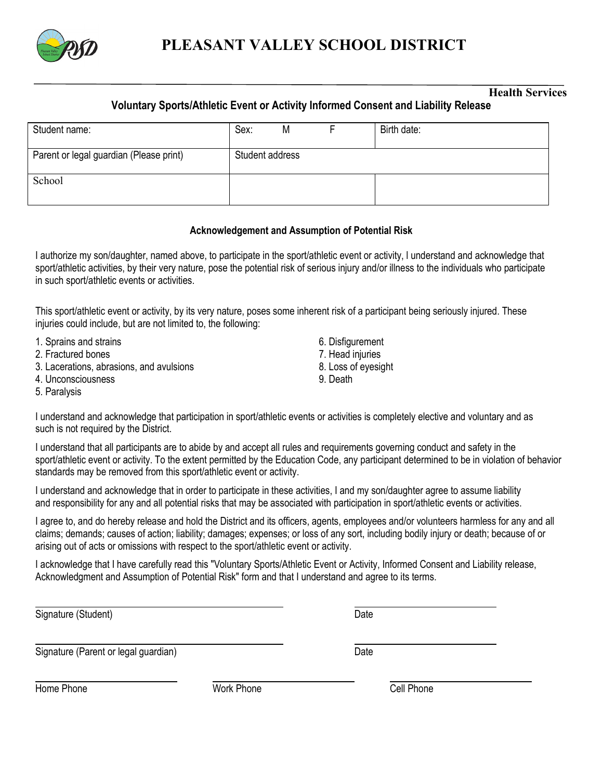

# **Health Services**

# **Voluntary Sports/Athletic Event or Activity Informed Consent and Liability Release**

| Student name:                           | Sex:            | M | Birth date: |
|-----------------------------------------|-----------------|---|-------------|
| Parent or legal guardian (Please print) | Student address |   |             |
| School                                  |                 |   |             |

## **Acknowledgement and Assumption of Potential Risk**

I authorize my son/daughter, named above, to participate in the sport/athletic event or activity, l understand and acknowledge that sport/athletic activities, by their very nature, pose the potential risk of serious injury and/or illness to the individuals who participate in such sport/athletic events or activities.

This sport/athletic event or activity, by its very nature, poses some inherent risk of a participant being seriously injured. These injuries could include, but are not limited to, the following:

- 1. Sprains and strains **6. Disfigurement**
- 2. Fractured bones 2. Fractured bones 2. Fractured bones 2. Head injuries
- 3. Lacerations, abrasions, and avulsions 8. Loss of eyesight
- 4. Unconsciousness 9. Death
- 5. Paralysis
- 
- 
- 
- 

I understand and acknowledge that participation in sport/athletic events or activities is completely elective and voluntary and as such is not required by the District.

I understand that all participants are to abide by and accept all rules and requirements governing conduct and safety in the sport/athletic event or activity. To the extent permitted by the Education Code, any participant determined to be in violation of behavior standards may be removed from this sport/athletic event or activity.

I understand and acknowledge that in order to participate in these activities, I and my son/daughter agree to assume liability and responsibility for any and all potential risks that may be associated with participation in sport/athletic events or activities.

I agree to, and do hereby release and hold the District and its officers, agents, employees and/or volunteers harmless for any and all claims; demands; causes of action; liability; damages; expenses; or loss of any sort, including bodily injury or death; because of or arising out of acts or omissions with respect to the sport/athletic event or activity.

I acknowledge that I have carefully read this "Voluntary Sports/Athletic Event or Activity, Informed Consent and Liability release, Acknowledgment and Assumption of Potential Risk" form and that I understand and agree to its terms.

Signature (Student) Date

Signature (Parent or legal guardian) Signature Care Date

Home Phone **Cell Phone Work Phone Cell Phone**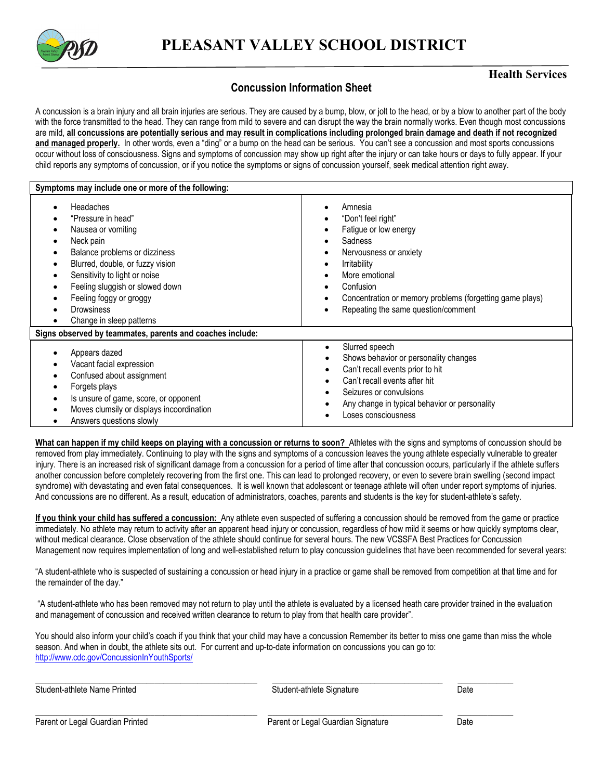

 **PLEASANT VALLEY SCHOOL DISTRICT**

 $\overline{a}$ 

### **Health Services**

# **Concussion Information Sheet**

A concussion is a brain injury and all brain injuries are serious. They are caused by a bump, blow, or jolt to the head, or by a blow to another part of the body with the force transmitted to the head. They can range from mild to severe and can disrupt the way the brain normally works. Even though most concussions are mild, **all concussions are potentially serious and may result in complications including prolonged brain damage and death if not recognized and managed properly.** In other words, even a "ding" or a bump on the head can be serious. You can't see a concussion and most sports concussions occur without loss of consciousness. Signs and symptoms of concussion may show up right after the injury or can take hours or days to fully appear. If your child reports any symptoms of concussion, or if you notice the symptoms or signs of concussion yourself, seek medical attention right away.

| Symptoms may include one or more of the following:                                                                                                                                                                                                                                                              |                                                                                                                                                                                                                                                                                                                                         |  |  |  |
|-----------------------------------------------------------------------------------------------------------------------------------------------------------------------------------------------------------------------------------------------------------------------------------------------------------------|-----------------------------------------------------------------------------------------------------------------------------------------------------------------------------------------------------------------------------------------------------------------------------------------------------------------------------------------|--|--|--|
| Headaches<br>٠<br>"Pressure in head"<br>Nausea or vomiting<br>$\bullet$<br>Neck pain<br>Balance problems or dizziness<br>Blurred, double, or fuzzy vision<br>Sensitivity to light or noise<br>$\bullet$<br>Feeling sluggish or slowed down<br>Feeling foggy or groggy<br>Drowsiness<br>Change in sleep patterns | Amnesia<br>$\bullet$<br>"Don't feel right"<br>٠<br>Fatigue or low energy<br>$\bullet$<br>Sadness<br>Nervousness or anxiety<br>$\bullet$<br><b>Irritability</b><br>$\bullet$<br>More emotional<br>$\bullet$<br>Confusion<br>$\bullet$<br>Concentration or memory problems (forgetting game plays)<br>Repeating the same question/comment |  |  |  |
| Signs observed by teammates, parents and coaches include:                                                                                                                                                                                                                                                       |                                                                                                                                                                                                                                                                                                                                         |  |  |  |
| Appears dazed<br>Vacant facial expression<br>Confused about assignment<br>Forgets plays<br>$\bullet$<br>Is unsure of game, score, or opponent<br>$\bullet$<br>Moves clumsily or displays incoordination<br>$\bullet$<br>Answers questions slowly                                                                | Slurred speech<br>$\bullet$<br>Shows behavior or personality changes<br>Can't recall events prior to hit<br>Can't recall events after hit<br>Seizures or convulsions<br>Any change in typical behavior or personality<br>Loses consciousness                                                                                            |  |  |  |

**What can happen if my child keeps on playing with a concussion or returns to soon?** Athletes with the signs and symptoms of concussion should be removed from play immediately. Continuing to play with the signs and symptoms of a concussion leaves the young athlete especially vulnerable to greater injury. There is an increased risk of significant damage from a concussion for a period of time after that concussion occurs, particularly if the athlete suffers another concussion before completely recovering from the first one. This can lead to prolonged recovery, or even to severe brain swelling (second impact syndrome) with devastating and even fatal consequences. It is well known that adolescent or teenage athlete will often under report symptoms of injuries. And concussions are no different. As a result, education of administrators, coaches, parents and students is the key for student-athlete's safety.

**If you think your child has suffered a concussion:** Any athlete even suspected of suffering a concussion should be removed from the game or practice immediately. No athlete may return to activity after an apparent head injury or concussion, regardless of how mild it seems or how quickly symptoms clear, without medical clearance. Close observation of the athlete should continue for several hours. The new VCSSFA Best Practices for Concussion Management now requires implementation of long and well-established return to play concussion guidelines that have been recommended for several years:

"A student-athlete who is suspected of sustaining a concussion or head injury in a practice or game shall be removed from competition at that time and for the remainder of the day."

"A student-athlete who has been removed may not return to play until the athlete is evaluated by a licensed heath care provider trained in the evaluation and management of concussion and received written clearance to return to play from that health care provider".

You should also inform your child's coach if you think that your child may have a concussion Remember its better to miss one game than miss the whole season. And when in doubt, the athlete sits out. For current and up-to-date information on concussions you can go to: <http://www.cdc.gov/ConcussionInYouthSports/>

| Student-athlete Name Printed     | Student-athlete Signature          | Date |
|----------------------------------|------------------------------------|------|
| Parent or Legal Guardian Printed | Parent or Legal Guardian Signature | Date |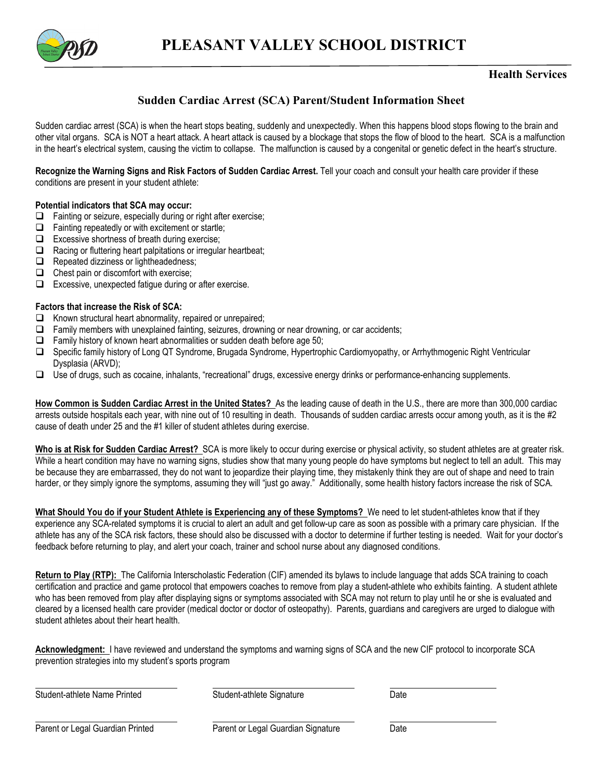

# **Health Services**

# **Sudden Cardiac Arrest (SCA) Parent/Student Information Sheet**

Sudden cardiac arrest (SCA) is when the heart stops beating, suddenly and unexpectedly. When this happens blood stops flowing to the brain and other vital organs. SCA is NOT a heart attack. A heart attack is caused by a blockage that stops the flow of blood to the heart. SCA is a malfunction in the heart's electrical system, causing the victim to collapse. The malfunction is caused by a congenital or genetic defect in the heart's structure.

**Recognize the Warning Signs and Risk Factors of Sudden Cardiac Arrest.** Tell your coach and consult your health care provider if these conditions are present in your student athlete:

#### **Potential indicators that SCA may occur:**

- $\Box$  Fainting or seizure, especially during or right after exercise;
- $\Box$  Fainting repeatedly or with excitement or startle;
- $\Box$  Excessive shortness of breath during exercise;
- $\Box$  Racing or fluttering heart palpitations or irregular heartbeat;
- $\Box$  Repeated dizziness or lightheadedness;
- $\Box$  Chest pain or discomfort with exercise:
- $\Box$  Excessive, unexpected fatigue during or after exercise.

#### **Factors that increase the Risk of SCA:**

- $\Box$  Known structural heart abnormality, repaired or unrepaired;
- $\Box$  Family members with unexplained fainting, seizures, drowning or near drowning, or car accidents;
- $\Box$  Family history of known heart abnormalities or sudden death before age 50;
- Specific family history of Long QT Syndrome, Brugada Syndrome, Hypertrophic Cardiomyopathy, or Arrhythmogenic Right Ventricular Dysplasia (ARVD);
- □ Use of drugs, such as cocaine, inhalants, "recreational" drugs, excessive energy drinks or performance-enhancing supplements.

**How Common is Sudden Cardiac Arrest in the United States?** As the leading cause of death in the U.S., there are more than 300,000 cardiac arrests outside hospitals each year, with nine out of 10 resulting in death. Thousands of sudden cardiac arrests occur among youth, as it is the #2 cause of death under 25 and the #1 killer of student athletes during exercise.

**Who is at Risk for Sudden Cardiac Arrest?** SCA is more likely to occur during exercise or physical activity, so student athletes are at greater risk. While a heart condition may have no warning signs, studies show that many young people do have symptoms but neglect to tell an adult. This may be because they are embarrassed, they do not want to jeopardize their playing time, they mistakenly think they are out of shape and need to train harder, or they simply ignore the symptoms, assuming they will "just go away." Additionally, some health history factors increase the risk of SCA.

**What Should You do if your Student Athlete is Experiencing any of these Symptoms?** We need to let student-athletes know that if they experience any SCA-related symptoms it is crucial to alert an adult and get follow-up care as soon as possible with a primary care physician. If the athlete has any of the SCA risk factors, these should also be discussed with a doctor to determine if further testing is needed. Wait for your doctor's feedback before returning to play, and alert your coach, trainer and school nurse about any diagnosed conditions.

**Return to Play (RTP):** The California Interscholastic Federation (CIF) amended its bylaws to include language that adds SCA training to coach certification and practice and game protocol that empowers coaches to remove from play a student-athlete who exhibits fainting. A student athlete who has been removed from play after displaying signs or symptoms associated with SCA may not return to play until he or she is evaluated and cleared by a licensed health care provider (medical doctor or doctor of osteopathy). Parents, guardians and caregivers are urged to dialogue with student athletes about their heart health.

**Acknowledgment:** I have reviewed and understand the symptoms and warning signs of SCA and the new CIF protocol to incorporate SCA prevention strategies into my student's sports program

Student-athlete Name Printed **Student-athlete Signature** Date

Parent or Legal Guardian Printed Parent or Legal Guardian Signature Date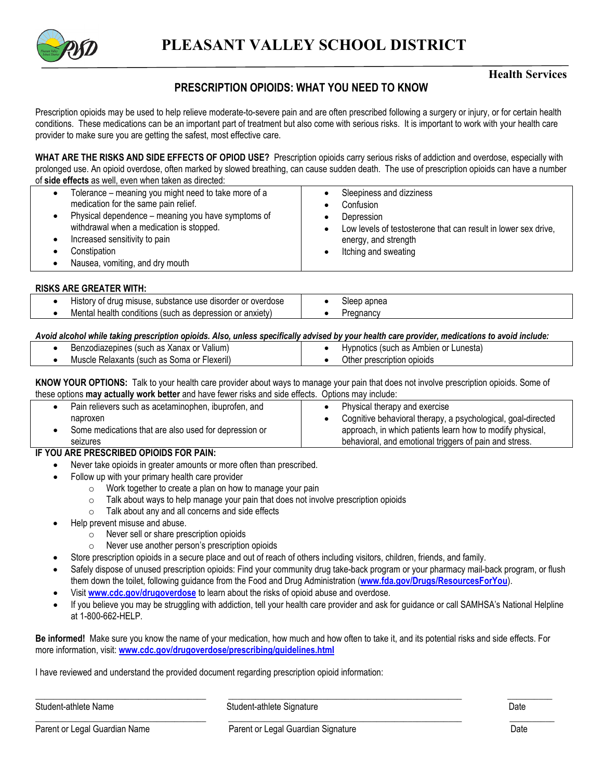

## **Health Services**

# **PRESCRIPTION OPIOIDS: WHAT YOU NEED TO KNOW**

Prescription opioids may be used to help relieve moderate-to-severe pain and are often prescribed following a surgery or injury, or for certain health conditions. These medications can be an important part of treatment but also come with serious risks. It is important to work with your health care provider to make sure you are getting the safest, most effective care.

**WHAT ARE THE RISKS AND SIDE EFFECTS OF OPIOD USE?** Prescription opioids carry serious risks of addiction and overdose, especially with prolonged use. An opioid overdose, often marked by slowed breathing, can cause sudden death. The use of prescription opioids can have a number of **side effects** as well, even when taken as directed:

| <b>The Alland as Ilout along the Miller Willem as allocated.</b> |                                                                     |  |
|------------------------------------------------------------------|---------------------------------------------------------------------|--|
| Tolerance - meaning you might need to take more of a             | Sleepiness and dizziness                                            |  |
| medication for the same pain relief.                             | Confusion                                                           |  |
| Physical dependence – meaning you have symptoms of               | Depression                                                          |  |
| withdrawal when a medication is stopped.                         | Low levels of testosterone that can result in lower sex drive,<br>٠ |  |
| Increased sensitivity to pain                                    | energy, and strength                                                |  |
| Constipation                                                     | Itching and sweating                                                |  |
| Nausea, vomiting, and dry mouth                                  |                                                                     |  |

#### **RISKS ARE GREATER WITH:**

| History of drug misuse, substance use disorder or overdose | Sleep apnea      |
|------------------------------------------------------------|------------------|
| Mental health conditions (such as depression or anxiety)   | <b>Pregnancy</b> |

#### *Avoid alcohol while taking prescription opioids. Also, unless specifically advised by your health care provider, medications to avoid include:*

| Benzodiazepines (such as Xanax or Valium)   | Hypnotics (such as Ambien or Lunesta) |
|---------------------------------------------|---------------------------------------|
| Muscle Relaxants (such as Soma or Flexeril) | Other prescription opioids            |
|                                             |                                       |

**KNOW YOUR OPTIONS:** Talk to your health care provider about ways to manage your pain that does not involve prescription opioids. Some of these options **may actually work better** and have fewer risks and side effects. Options may include:

| seizures                                              | behavioral, and emotional triggers of pain and stress.       |
|-------------------------------------------------------|--------------------------------------------------------------|
| Some medications that are also used for depression or | approach, in which patients learn how to modify physical,    |
| naproxen                                              | Cognitive behavioral therapy, a psychological, goal-directed |
| Pain relievers such as acetaminophen, ibuprofen, and  | Physical therapy and exercise                                |

#### **IF YOU ARE PRESCRIBED OPIOIDS FOR PAIN:**

- Never take opioids in greater amounts or more often than prescribed.
	- Follow up with your primary health care provider
		- $\circ$  Work together to create a plan on how to manage your pain  $\circ$  Talk about ways to help manage your pain that does not inv
		- Talk about ways to help manage your pain that does not involve prescription opioids
		- o Talk about any and all concerns and side effects
- Help prevent misuse and abuse.
	- $\circ$  Never sell or share prescription opioids<br> $\circ$  Never use another person's prescription
	- Never use another person's prescription opioids
- Store prescription opioids in a secure place and out of reach of others including visitors, children, friends, and family.
- Safely dispose of unused prescription opioids: Find your community drug take-back program or your pharmacy mail-back program, or flush them down the toilet, following guidance from the Food and Drug Administration (**[www.fda.gov/Drugs/ResourcesForYou](http://www.fda.gov/Drugs/ResourcesForYou)**).
- Visit **[www.cdc.gov/drugoverdose](http://www.cdc.gov/drugoverdose)** to learn about the risks of opioid abuse and overdose.
- If you believe you may be struggling with addiction, tell your health care provider and ask for guidance or call SAMHSA's National Helpline at 1-800-662-HELP.

**Be informed!** Make sure you know the name of your medication, how much and how often to take it, and its potential risks and side effects. For more information, visit: **[www.cdc.gov/drugoverdose/prescribing/guidelines.html](http://www.cdc.gov/drugoverdose/prescribing/guidelines.html)**

\_\_\_\_\_\_\_\_\_\_\_\_\_\_\_\_\_\_\_\_\_\_\_\_\_\_\_\_\_\_\_\_\_\_\_\_\_\_ \_\_\_\_\_\_\_\_\_\_\_\_\_\_\_\_\_\_\_\_\_\_\_\_\_\_\_\_\_\_\_\_\_\_\_\_\_\_\_\_\_\_\_\_\_\_\_\_\_\_\_\_ \_\_\_\_\_\_\_\_\_\_

I have reviewed and understand the provided document regarding prescription opioid information:

Student-athlete Name Date Student-athlete Signature Communications and Date Date

\_\_\_\_\_\_\_\_\_\_\_\_\_\_\_\_\_\_\_\_\_\_\_\_\_\_\_\_\_\_\_\_\_\_\_\_\_\_ \_\_\_\_\_\_\_\_\_\_\_\_\_\_\_\_\_\_\_\_\_\_\_\_\_\_\_\_\_\_\_\_\_\_\_\_\_\_\_\_\_\_\_\_\_\_\_\_\_\_\_\_ \_\_\_\_\_\_\_\_\_\_ Parent or Legal Guardian Name **Parent or Legal Guardian Signature** Parent or Legal Guardian Signature **Parent or Legal Guardian Signature** Parent or Legal Guardian Signature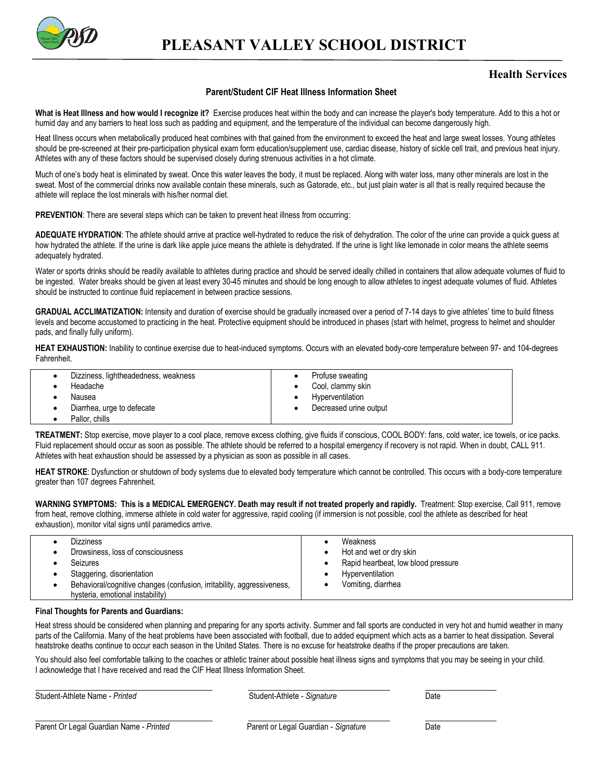

 **PLEASANT VALLEY SCHOOL DISTRICT**

# **Health Services**

#### **Parent/Student CIF Heat Illness Information Sheet**

l

What is Heat Illness and how would I recognize it? Exercise produces heat within the body and can increase the player's body temperature. Add to this a hot or humid day and any barriers to heat loss such as padding and equipment, and the temperature of the individual can become dangerously high.

Heat Illness occurs when metabolically produced heat combines with that gained from the environment to exceed the heat and large sweat losses. Young athletes should be pre-screened at their pre-participation physical exam form education/supplement use, cardiac disease, history of sickle cell trait, and previous heat injury. Athletes with any of these factors should be supervised closely during strenuous activities in a hot climate.

Much of one's body heat is eliminated by sweat. Once this water leaves the body, it must be replaced. Along with water loss, many other minerals are lost in the sweat. Most of the commercial drinks now available contain these minerals, such as Gatorade, etc., but just plain water is all that is really required because the athlete will replace the lost minerals with his/her normal diet.

**PREVENTION:** There are several steps which can be taken to prevent heat illness from occurring:

**ADEQUATE HYDRATION**: The athlete should arrive at practice well-hydrated to reduce the risk of dehydration. The color of the urine can provide a quick guess at how hydrated the athlete. If the urine is dark like apple juice means the athlete is dehydrated. If the urine is light like lemonade in color means the athlete seems adequately hydrated.

Water or sports drinks should be readily available to athletes during practice and should be served ideally chilled in containers that allow adequate volumes of fluid to be ingested. Water breaks should be given at least every 30-45 minutes and should be long enough to allow athletes to ingest adequate volumes of fluid. Athletes should be instructed to continue fluid replacement in between practice sessions.

**GRADUAL ACCLIMATIZATION:** Intensity and duration of exercise should be gradually increased over a period of 7-14 days to give athletes' time to build fitness levels and become accustomed to practicing in the heat. Protective equipment should be introduced in phases (start with helmet, progress to helmet and shoulder pads, and finally fully uniform).

**HEAT EXHAUSTION:** Inability to continue exercise due to heat-induced symptoms. Occurs with an elevated body-core temperature between 97- and 104-degrees **Fahrenheit** 

| Profuse sweating       |
|------------------------|
| Cool, clammy skin      |
| Hyperventilation       |
| Decreased urine output |
|                        |
|                        |

**TREATMENT:** Stop exercise, move player to a cool place, remove excess clothing, give fluids if conscious, COOL BODY: fans, cold water, ice towels, or ice packs. Fluid replacement should occur as soon as possible. The athlete should be referred to a hospital emergency if recovery is not rapid. When in doubt, CALL 911. Athletes with heat exhaustion should be assessed by a physician as soon as possible in all cases.

**HEAT STROKE**: Dysfunction or shutdown of body systems due to elevated body temperature which cannot be controlled. This occurs with a body-core temperature greater than 107 degrees Fahrenheit.

**WARNING SYMPTOMS: This is a MEDICAL EMERGENCY. Death may result if not treated properly and rapidly.** Treatment: Stop exercise, Call 911, remove from heat, remove clothing, immerse athlete in cold water for aggressive, rapid cooling (if immersion is not possible, cool the athlete as described for heat exhaustion), monitor vital signs until paramedics arrive.

| <b>Dizziness</b>                                                       | Weakness                            |
|------------------------------------------------------------------------|-------------------------------------|
| Drowsiness, loss of consciousness                                      | Hot and wet or dry skin             |
| Seizures                                                               | Rapid heartbeat, low blood pressure |
| Staggering, disorientation                                             | Hyperventilation                    |
| Behavioral/cognitive changes (confusion, irritability, aggressiveness, | Vomiting, diarrhea                  |
| hysteria, emotional instability)                                       |                                     |
|                                                                        |                                     |

#### **Final Thoughts for Parents and Guardians:**

Heat stress should be considered when planning and preparing for any sports activity. Summer and fall sports are conducted in very hot and humid weather in many parts of the California. Many of the heat problems have been associated with football, due to added equipment which acts as a barrier to heat dissipation. Several heatstroke deaths continue to occur each season in the United States. There is no excuse for heatstroke deaths if the proper precautions are taken.

You should also feel comfortable talking to the coaches or athletic trainer about possible heat illness signs and symptoms that you may be seeing in your child. I acknowledge that I have received and read the CIF Heat Illness Information Sheet.

Student-Athlete Name - *Printed* Student-Athlete - *Signature* Date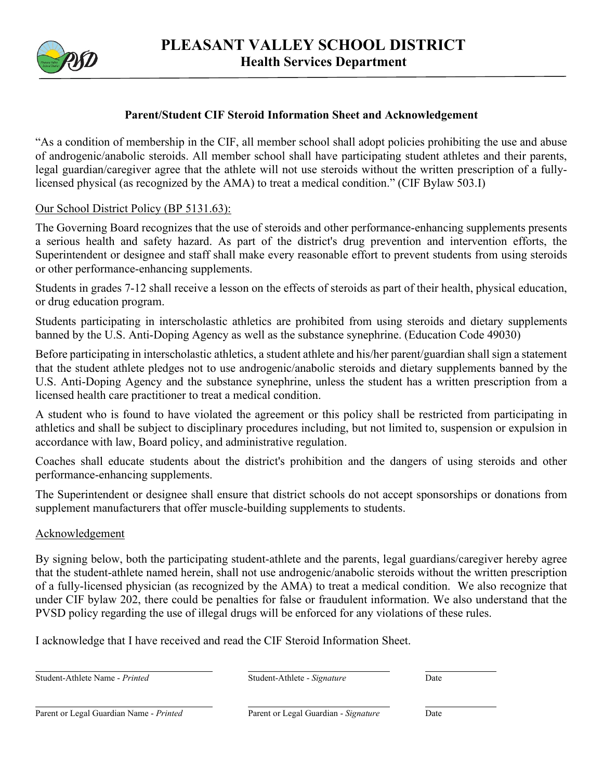

# **Parent/Student CIF Steroid Information Sheet and Acknowledgement**

"As a condition of membership in the CIF, all member school shall adopt policies prohibiting the use and abuse of androgenic/anabolic steroids. All member school shall have participating student athletes and their parents, legal guardian/caregiver agree that the athlete will not use steroids without the written prescription of a fullylicensed physical (as recognized by the AMA) to treat a medical condition." (CIF Bylaw 503.I)

# Our School District Policy (BP 5131.63):

The Governing Board recognizes that the use of steroids and other performance-enhancing supplements presents a serious health and safety hazard. As part of the district's drug prevention and intervention efforts, the Superintendent or designee and staff shall make every reasonable effort to prevent students from using steroids or other performance-enhancing supplements.

Students in grades 7-12 shall receive a lesson on the effects of steroids as part of their health, physical education, or drug education program.

Students participating in interscholastic athletics are prohibited from using steroids and dietary supplements banned by the U.S. Anti-Doping Agency as well as the substance synephrine. (Education Code 49030)

Before participating in interscholastic athletics, a student athlete and his/her parent/guardian shall sign a statement that the student athlete pledges not to use androgenic/anabolic steroids and dietary supplements banned by the U.S. Anti-Doping Agency and the substance synephrine, unless the student has a written prescription from a licensed health care practitioner to treat a medical condition.

A student who is found to have violated the agreement or this policy shall be restricted from participating in athletics and shall be subject to disciplinary procedures including, but not limited to, suspension or expulsion in accordance with law, Board policy, and administrative regulation.

Coaches shall educate students about the district's prohibition and the dangers of using steroids and other performance-enhancing supplements.

The Superintendent or designee shall ensure that district schools do not accept sponsorships or donations from supplement manufacturers that offer muscle-building supplements to students.

# Acknowledgement

By signing below, both the participating student-athlete and the parents, legal guardians/caregiver hereby agree that the student-athlete named herein, shall not use androgenic/anabolic steroids without the written prescription of a fully-licensed physician (as recognized by the AMA) to treat a medical condition. We also recognize that under CIF bylaw 202, there could be penalties for false or fraudulent information. We also understand that the PVSD policy regarding the use of illegal drugs will be enforced for any violations of these rules.

I acknowledge that I have received and read the CIF Steroid Information Sheet.

Student-Athlete Name - *Printed* Date **Student-Athlete** - *Signature* Date

Parent or Legal Guardian Name - *Printed* Parent or Legal Guardian - *Signature* Date